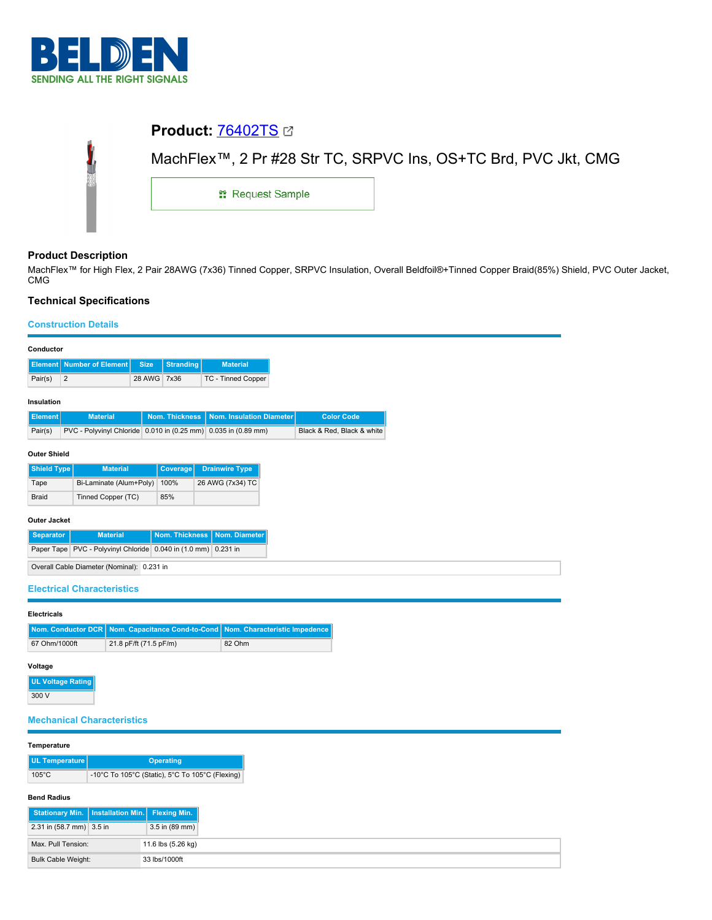

|   | <b>Product: 76402TS 27</b>                                                  |  |  |  |  |  |  |
|---|-----------------------------------------------------------------------------|--|--|--|--|--|--|
| I | MachFlex <sup>™</sup> , 2 Pr #28 Str TC, SRPVC Ins, OS+TC Brd, PVC Jkt, CMG |  |  |  |  |  |  |
|   | <b>: Request Sample</b>                                                     |  |  |  |  |  |  |
|   |                                                                             |  |  |  |  |  |  |

## **Product Description**

MachFlex™ for High Flex, 2 Pair 28AWG (7x36) Tinned Copper, SRPVC Insulation, Overall Beldfoil®+Tinned Copper Braid(85%) Shield, PVC Outer Jacket, CMG

# **Technical Specifications**

## **Construction Details**

| Conductor                                                          |                                                                |             |                               |                                                                |                               |                            |
|--------------------------------------------------------------------|----------------------------------------------------------------|-------------|-------------------------------|----------------------------------------------------------------|-------------------------------|----------------------------|
| Element                                                            | <b>Number of Element</b>                                       | <b>Size</b> | <b>Stranding</b>              | <b>Material</b>                                                |                               |                            |
| $\overline{2}$<br>Pair(s)                                          |                                                                | 28 AWG 7x36 |                               | TC - Tinned Copper                                             |                               |                            |
|                                                                    |                                                                |             |                               |                                                                |                               |                            |
| Insulation                                                         |                                                                |             |                               |                                                                |                               |                            |
| <b>Element</b>                                                     | <b>Material</b>                                                |             | <b>Nom. Thickness</b>         | Nom. Insulation Diameter                                       |                               | <b>Color Code</b>          |
| Pair(s)                                                            |                                                                |             |                               | PVC - Polyvinyl Chloride 0.010 in (0.25 mm) 0.035 in (0.89 mm) |                               | Black & Red, Black & white |
| <b>Outer Shield</b>                                                |                                                                |             |                               |                                                                |                               |                            |
| <b>Shield Type</b>                                                 | <b>Material</b>                                                |             | Coverage                      | <b>Drainwire Type</b>                                          |                               |                            |
| Bi-Laminate (Alum+Poly)<br>100%<br>Tape                            |                                                                |             | 26 AWG (7x34) TC              |                                                                |                               |                            |
| <b>Braid</b>                                                       | Tinned Copper (TC)                                             |             | 85%                           |                                                                |                               |                            |
|                                                                    |                                                                |             |                               |                                                                |                               |                            |
| <b>Outer Jacket</b>                                                |                                                                |             |                               |                                                                |                               |                            |
| <b>Separator</b>                                                   | <b>Material</b>                                                |             | Nom. Thickness                | Nom. Diameter                                                  |                               |                            |
|                                                                    | Paper Tape PVC - Polyvinyl Chloride 0.040 in (1.0 mm) 0.231 in |             |                               |                                                                |                               |                            |
| Overall Cable Diameter (Nominal): 0.231 in                         |                                                                |             |                               |                                                                |                               |                            |
| <b>Electrical Characteristics</b>                                  |                                                                |             |                               |                                                                |                               |                            |
|                                                                    |                                                                |             |                               |                                                                |                               |                            |
| <b>Electricals</b>                                                 |                                                                |             |                               |                                                                |                               |                            |
| <b>Nom. Conductor DCR</b>                                          |                                                                |             | Nom. Capacitance Cond-to-Cond |                                                                | Nom. Characteristic Impedence |                            |
| 67 Ohm/1000ft<br>21.8 pF/ft (71.5 pF/m)                            |                                                                | 82 Ohm      |                               |                                                                |                               |                            |
|                                                                    |                                                                |             |                               |                                                                |                               |                            |
| Voltage                                                            |                                                                |             |                               |                                                                |                               |                            |
| <b>UL Voltage Rating</b>                                           |                                                                |             |                               |                                                                |                               |                            |
| 300 V                                                              |                                                                |             |                               |                                                                |                               |                            |
| <b>Mechanical Characteristics</b>                                  |                                                                |             |                               |                                                                |                               |                            |
|                                                                    |                                                                |             |                               |                                                                |                               |                            |
| Temperature                                                        |                                                                |             |                               |                                                                |                               |                            |
| <b>UL Temperature</b><br><b>Operating</b>                          |                                                                |             |                               |                                                                |                               |                            |
| $105^{\circ}$ C<br>-10°C To 105°C (Static), 5°C To 105°C (Flexing) |                                                                |             |                               |                                                                |                               |                            |
|                                                                    |                                                                |             |                               |                                                                |                               |                            |
| <b>Bend Radius</b>                                                 | Chatianam: Min   Ingtallation Min   Elevina Min                |             |                               |                                                                |                               |                            |

| Stationary Min.   Installation Min.   Flexing Min. |  |                    |
|----------------------------------------------------|--|--------------------|
| 2.31 in (58.7 mm) 3.5 in                           |  | $3.5$ in (89 mm)   |
| Max, Pull Tension:                                 |  | 11.6 lbs (5.26 kg) |
| Bulk Cable Weight:                                 |  | 33 lbs/1000ft      |